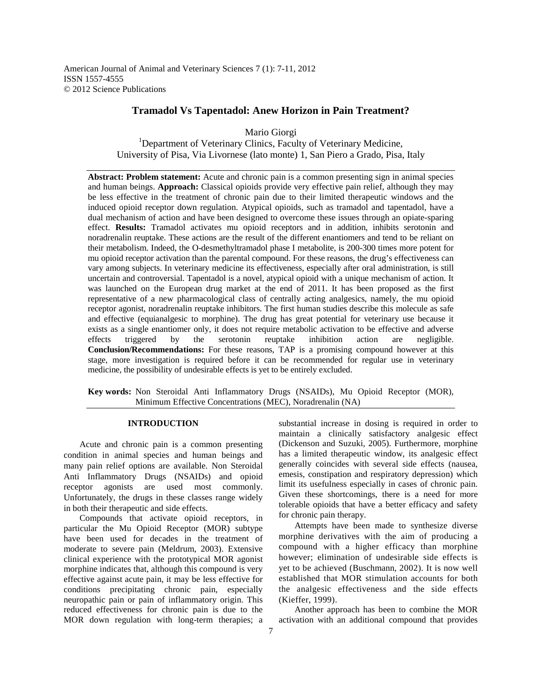American Journal of Animal and Veterinary Sciences 7 (1): 7-11, 2012 ISSN 1557-4555 © 2012 Science Publications

## **Tramadol Vs Tapentadol: Anew Horizon in Pain Treatment?**

Mario Giorgi <sup>1</sup>Department of Veterinary Clinics, Faculty of Veterinary Medicine, University of Pisa, Via Livornese (lato monte) 1, San Piero a Grado, Pisa, Italy

**Abstract: Problem statement:** Acute and chronic pain is a common presenting sign in animal species and human beings. **Approach:** Classical opioids provide very effective pain relief, although they may be less effective in the treatment of chronic pain due to their limited therapeutic windows and the induced opioid receptor down regulation. Atypical opioids, such as tramadol and tapentadol, have a dual mechanism of action and have been designed to overcome these issues through an opiate-sparing effect. **Results:** Tramadol activates mu opioid receptors and in addition, inhibits serotonin and noradrenalin reuptake. These actions are the result of the different enantiomers and tend to be reliant on their metabolism. Indeed, the O-desmethyltramadol phase I metabolite, is 200-300 times more potent for mu opioid receptor activation than the parental compound. For these reasons, the drug's effectiveness can vary among subjects. In veterinary medicine its effectiveness, especially after oral administration, is still uncertain and controversial. Tapentadol is a novel, atypical opioid with a unique mechanism of action. It was launched on the European drug market at the end of 2011. It has been proposed as the first representative of a new pharmacological class of centrally acting analgesics, namely, the mu opioid receptor agonist, noradrenalin reuptake inhibitors. The first human studies describe this molecule as safe and effective (equianalgesic to morphine). The drug has great potential for veterinary use because it exists as a single enantiomer only, it does not require metabolic activation to be effective and adverse effects triggered by the serotonin reuptake inhibition action are negligible. **Conclusion/Recommendations:** For these reasons, TAP is a promising compound however at this stage, more investigation is required before it can be recommended for regular use in veterinary medicine, the possibility of undesirable effects is yet to be entirely excluded.

**Key words:** Non Steroidal Anti Inflammatory Drugs (NSAIDs), Mu Opioid Receptor (MOR), Minimum Effective Concentrations (MEC), Noradrenalin (NA)

## **INTRODUCTION**

 Acute and chronic pain is a common presenting condition in animal species and human beings and many pain relief options are available. Non Steroidal Anti Inflammatory Drugs (NSAIDs) and opioid receptor agonists are used most commonly. Unfortunately, the drugs in these classes range widely in both their therapeutic and side effects.

 Compounds that activate opioid receptors, in particular the Mu Opioid Receptor (MOR) subtype have been used for decades in the treatment of moderate to severe pain (Meldrum, 2003). Extensive clinical experience with the prototypical MOR agonist morphine indicates that, although this compound is very effective against acute pain, it may be less effective for conditions precipitating chronic pain, especially neuropathic pain or pain of inflammatory origin. This reduced effectiveness for chronic pain is due to the MOR down regulation with long-term therapies; a

substantial increase in dosing is required in order to maintain a clinically satisfactory analgesic effect (Dickenson and Suzuki, 2005). Furthermore, morphine has a limited therapeutic window, its analgesic effect generally coincides with several side effects (nausea, emesis, constipation and respiratory depression) which limit its usefulness especially in cases of chronic pain. Given these shortcomings, there is a need for more tolerable opioids that have a better efficacy and safety for chronic pain therapy.

 Attempts have been made to synthesize diverse morphine derivatives with the aim of producing a compound with a higher efficacy than morphine however; elimination of undesirable side effects is yet to be achieved (Buschmann, 2002). It is now well established that MOR stimulation accounts for both the analgesic effectiveness and the side effects (Kieffer, 1999).

 Another approach has been to combine the MOR activation with an additional compound that provides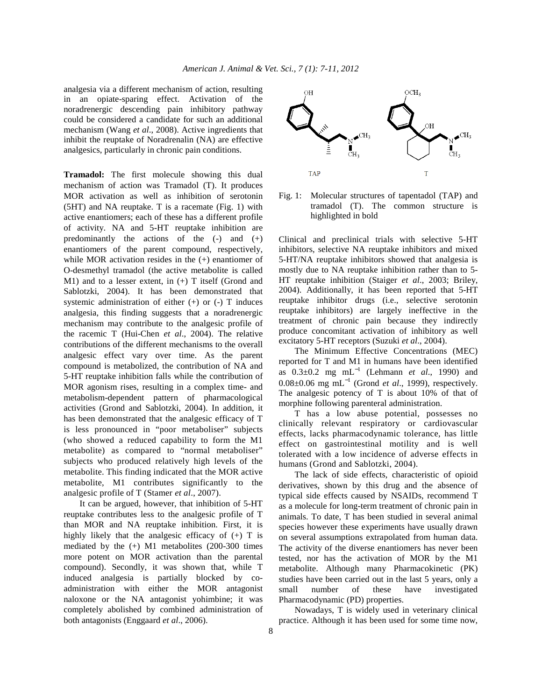analgesia via a different mechanism of action, resulting in an opiate-sparing effect. Activation of the noradrenergic descending pain inhibitory pathway could be considered a candidate for such an additional mechanism (Wang *et al*., 2008). Active ingredients that inhibit the reuptake of Noradrenalin (NA) are effective analgesics, particularly in chronic pain conditions.

**Tramadol:** The first molecule showing this dual mechanism of action was Tramadol (T). It produces MOR activation as well as inhibition of serotonin (5HT) and NA reuptake. T is a racemate (Fig. 1) with active enantiomers; each of these has a different profile of activity. NA and 5-HT reuptake inhibition are predominantly the actions of the (-) and (+) enantiomers of the parent compound, respectively, while MOR activation resides in the (+) enantiomer of O-desmethyl tramadol (the active metabolite is called M1) and to a lesser extent, in (+) T itself (Grond and Sablotzki, 2004). It has been demonstrated that systemic administration of either  $(+)$  or  $(-)$  T induces analgesia, this finding suggests that a noradrenergic mechanism may contribute to the analgesic profile of the racemic T (Hui-Chen *et al*., 2004). The relative contributions of the different mechanisms to the overall analgesic effect vary over time. As the parent compound is metabolized, the contribution of NA and 5-HT reuptake inhibition falls while the contribution of MOR agonism rises, resulting in a complex time- and metabolism-dependent pattern of pharmacological activities (Grond and Sablotzki, 2004). In addition, it has been demonstrated that the analgesic efficacy of T is less pronounced in "poor metaboliser" subjects (who showed a reduced capability to form the M1 metabolite) as compared to "normal metaboliser" subjects who produced relatively high levels of the metabolite. This finding indicated that the MOR active metabolite, M1 contributes significantly to the analgesic profile of T (Stamer *et al*., 2007).

 It can be argued, however, that inhibition of 5-HT reuptake contributes less to the analgesic profile of T than MOR and NA reuptake inhibition. First, it is highly likely that the analgesic efficacy of  $(+)$  T is mediated by the (+) M1 metabolites (200-300 times more potent on MOR activation than the parental compound). Secondly, it was shown that, while T induced analgesia is partially blocked by coadministration with either the MOR antagonist naloxone or the NA antagonist yohimbine; it was completely abolished by combined administration of both antagonists (Enggaard *et al*., 2006).



Fig. 1: Molecular structures of tapentadol (TAP) and tramadol (T). The common structure is highlighted in bold

Clinical and preclinical trials with selective 5-HT inhibitors, selective NA reuptake inhibitors and mixed 5-HT/NA reuptake inhibitors showed that analgesia is mostly due to NA reuptake inhibition rather than to 5- HT reuptake inhibition (Staiger *et al*., 2003; Briley, 2004). Additionally, it has been reported that 5-HT reuptake inhibitor drugs (i.e., selective serotonin reuptake inhibitors) are largely ineffective in the treatment of chronic pain because they indirectly produce concomitant activation of inhibitory as well excitatory 5-HT receptors (Suzuki *et al*., 2004).

 The Minimum Effective Concentrations (MEC) reported for T and M1 in humans have been identified as 0.3±0.2 mg mL<sup>−</sup><sup>1</sup> (Lehmann *et al*., 1990) and 0.08±0.06 mg mL<sup>−</sup><sup>1</sup> (Grond *et al*., 1999), respectively. The analgesic potency of T is about 10% of that of morphine following parenteral administration.

 T has a low abuse potential, possesses no clinically relevant respiratory or cardiovascular effects, lacks pharmacodynamic tolerance, has little effect on gastrointestinal motility and is well tolerated with a low incidence of adverse effects in humans (Grond and Sablotzki, 2004).

 The lack of side effects, characteristic of opioid derivatives, shown by this drug and the absence of typical side effects caused by NSAIDs, recommend T as a molecule for long-term treatment of chronic pain in animals. To date, T has been studied in several animal species however these experiments have usually drawn on several assumptions extrapolated from human data. The activity of the diverse enantiomers has never been tested, nor has the activation of MOR by the M1 metabolite. Although many Pharmacokinetic (PK) studies have been carried out in the last 5 years, only a small number of these have investigated Pharmacodynamic (PD) properties.

 Nowadays, T is widely used in veterinary clinical practice. Although it has been used for some time now,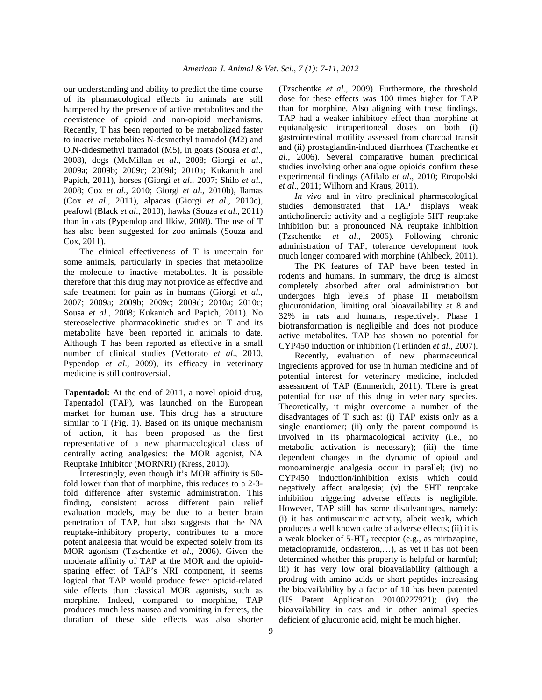our understanding and ability to predict the time course of its pharmacological effects in animals are still hampered by the presence of active metabolites and the coexistence of opioid and non-opioid mechanisms. Recently, T has been reported to be metabolized faster to inactive metabolites N-desmethyl tramadol (M2) and O,N-didesmethyl tramadol (M5), in goats (Sousa *et al*., 2008), dogs (McMillan *et al*., 2008; Giorgi *et al*., 2009a; 2009b; 2009c; 2009d; 2010a; Kukanich and Papich, 2011), horses (Giorgi *et al*., 2007; Shilo *et al*., 2008; Cox *et al*., 2010; Giorgi *et al*., 2010b), llamas (Cox *et al*., 2011), alpacas (Giorgi *et al*., 2010c), peafowl (Black *et al*., 2010), hawks (Souza *et al*., 2011) than in cats (Pypendop and Ilkiw, 2008). The use of T has also been suggested for zoo animals (Souza and Cox, 2011).

 The clinical effectiveness of T is uncertain for some animals, particularly in species that metabolize the molecule to inactive metabolites. It is possible therefore that this drug may not provide as effective and safe treatment for pain as in humans (Giorgi *et al*., 2007; 2009a; 2009b; 2009c; 2009d; 2010a; 2010c; Sousa *et al*., 2008; Kukanich and Papich, 2011). No stereoselective pharmacokinetic studies on T and its metabolite have been reported in animals to date. Although T has been reported as effective in a small number of clinical studies (Vettorato *et al*., 2010, Pypendop *et al*., 2009), its efficacy in veterinary medicine is still controversial.

**Tapentadol:** At the end of 2011, a novel opioid drug, Tapentadol (TAP), was launched on the European market for human use. This drug has a structure similar to T (Fig. 1). Based on its unique mechanism of action, it has been proposed as the first representative of a new pharmacological class of centrally acting analgesics: the MOR agonist, NA Reuptake Inhibitor (MORNRI) (Kress, 2010).

 Interestingly, even though it's MOR affinity is 50 fold lower than that of morphine, this reduces to a 2-3 fold difference after systemic administration. This finding, consistent across different pain relief evaluation models, may be due to a better brain penetration of TAP, but also suggests that the NA reuptake-inhibitory property, contributes to a more potent analgesia that would be expected solely from its MOR agonism (Tzschentke *et al*., 2006). Given the moderate affinity of TAP at the MOR and the opioidsparing effect of TAP's NRI component, it seems logical that TAP would produce fewer opioid-related side effects than classical MOR agonists, such as morphine. Indeed, compared to morphine, TAP produces much less nausea and vomiting in ferrets, the duration of these side effects was also shorter

(Tzschentke *et al*., 2009). Furthermore, the threshold dose for these effects was 100 times higher for TAP than for morphine. Also aligning with these findings, TAP had a weaker inhibitory effect than morphine at equianalgesic intraperitoneal doses on both (i) gastrointestinal motility assessed from charcoal transit and (ii) prostaglandin-induced diarrhoea (Tzschentke *et al*., 2006). Several comparative human preclinical studies involving other analogue opioids confirm these experimental findings (Afilalo *et al*., 2010; Etropolski *et al*., 2011; Wilhorn and Kraus, 2011).

*In vivo* and in vitro preclinical pharmacological studies demonstrated that TAP displays weak anticholinercic activity and a negligible 5HT reuptake inhibition but a pronounced NA reuptake inhibition (Tzschentke *et al*., 2006). Following chronic administration of TAP, tolerance development took much longer compared with morphine (Ahlbeck, 2011).

 The PK features of TAP have been tested in rodents and humans. In summary, the drug is almost completely absorbed after oral administration but undergoes high levels of phase II metabolism glucuronidation, limiting oral bioavailability at 8 and 32% in rats and humans, respectively. Phase I biotransformation is negligible and does not produce active metabolites. TAP has shown no potential for CYP450 induction or inhibition (Terlinden *et al*., 2007).

 Recently, evaluation of new pharmaceutical ingredients approved for use in human medicine and of potential interest for veterinary medicine, included assessment of TAP (Emmerich, 2011). There is great potential for use of this drug in veterinary species. Theoretically, it might overcome a number of the disadvantages of T such as: (i) TAP exists only as a single enantiomer; (ii) only the parent compound is involved in its pharmacological activity (i.e., no metabolic activation is necessary); (iii) the time dependent changes in the dynamic of opioid and monoaminergic analgesia occur in parallel; (iv) no CYP450 induction/inhibition exists which could negatively affect analgesia; (v) the 5HT reuptake inhibition triggering adverse effects is negligible. However, TAP still has some disadvantages, namely: (i) it has antimuscarinic activity, albeit weak, which produces a well known cadre of adverse effects; (ii) it is a weak blocker of  $5-HT_3$  receptor (e.g., as mirtazapine, metaclopramide, ondasteron,…), as yet it has not been determined whether this property is helpful or harmful; iii) it has very low oral bioavailability (although a prodrug with amino acids or short peptides increasing the bioavailability by a factor of 10 has been patented (US Patent Application 20100227921); (iv) the bioavailability in cats and in other animal species deficient of glucuronic acid, might be much higher.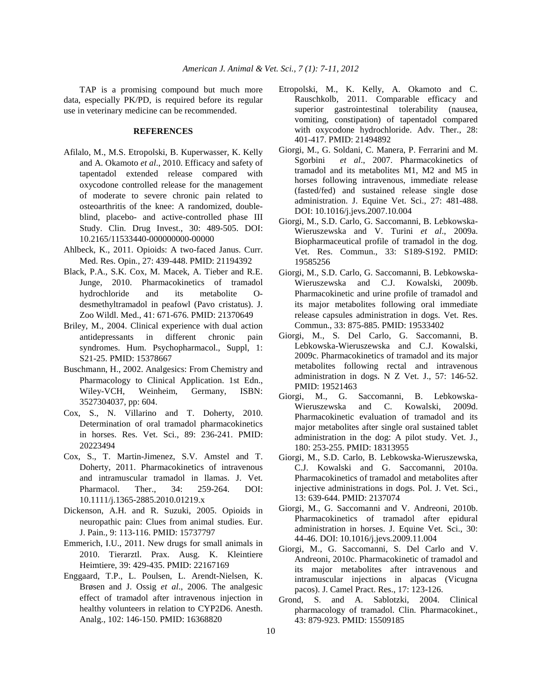TAP is a promising compound but much more data, especially PK/PD, is required before its regular use in veterinary medicine can be recommended.

## **REFERENCES**

- Afilalo, M., M.S. Etropolski, B. Kuperwasser, K. Kelly and A. Okamoto *et al*., 2010. Efficacy and safety of tapentadol extended release compared with oxycodone controlled release for the management of moderate to severe chronic pain related to osteoarthritis of the knee: A randomized, doubleblind, placebo- and active-controlled phase III Study. Clin. Drug Invest., 30: 489-505. DOI: 10.2165/11533440-000000000-00000
- Ahlbeck, K., 2011. Opioids: A two-faced Janus. Curr. Med. Res. Opin., 27: 439-448. PMID: 21194392
- Black, P.A., S.K. Cox, M. Macek, A. Tieber and R.E. Junge, 2010. Pharmacokinetics of tramadol hydrochloride and its metabolite Odesmethyltramadol in peafowl (Pavo cristatus). J. Zoo Wildl. Med., 41: 671-676. PMID: 21370649
- Briley, M., 2004. Clinical experience with dual action antidepressants in different chronic pain syndromes. Hum. Psychopharmacol., Suppl, 1: S21-25. PMID: 15378667
- Buschmann, H., 2002. Analgesics: From Chemistry and Pharmacology to Clinical Application. 1st Edn., Wiley-VCH, Weinheim, Germany, ISBN: 3527304037, pp: 604.
- Cox, S., N. Villarino and T. Doherty, 2010. Determination of oral tramadol pharmacokinetics in horses. Res. Vet. Sci., 89: 236-241. PMID: 20223494
- Cox, S., T. Martin-Jimenez, S.V. Amstel and T. Doherty, 2011. Pharmacokinetics of intravenous and intramuscular tramadol in llamas. J. Vet. Pharmacol. Ther., 34: 259-264. DOI: 10.1111/j.1365-2885.2010.01219.x
- Dickenson, A.H. and R. Suzuki, 2005. Opioids in neuropathic pain: Clues from animal studies. Eur. J. Pain., 9: 113-116. PMID: 15737797
- Emmerich, I.U., 2011. New drugs for small animals in 2010. Tierarztl. Prax. Ausg. K. Kleintiere Heimtiere, 39: 429-435. PMID: 22167169
- Enggaard, T.P., L. Poulsen, L. Arendt-Nielsen, K. Brøsen and J. Ossig *et al*., 2006. The analgesic effect of tramadol after intravenous injection in healthy volunteers in relation to CYP2D6. Anesth. Analg., 102: 146-150. PMID: 16368820
- Etropolski, M., K. Kelly, A. Okamoto and C. Rauschkolb, 2011. Comparable efficacy and superior gastrointestinal tolerability (nausea, vomiting, constipation) of tapentadol compared with oxycodone hydrochloride. Adv. Ther., 28: 401-417. PMID: 21494892
- Giorgi, M., G. Soldani, C. Manera, P. Ferrarini and M. Sgorbini *et al*., 2007. Pharmacokinetics of tramadol and its metabolites M1, M2 and M5 in horses following intravenous, immediate release (fasted/fed) and sustained release single dose administration. J. Equine Vet. Sci., 27: 481-488. DOI: 10.1016/j.jevs.2007.10.004
- Giorgi, M., S.D. Carlo, G. Saccomanni, B. Lebkowska-Wieruszewska and V. Turini *et al*., 2009a. Biopharmaceutical profile of tramadol in the dog. Vet. Res. Commun., 33: S189-S192. PMID: 19585256
- Giorgi, M., S.D. Carlo, G. Saccomanni, B. Lebkowska-Wieruszewska and C.J. Kowalski, 2009b. Pharmacokinetic and urine profile of tramadol and its major metabolites following oral immediate release capsules administration in dogs. Vet. Res. Commun., 33: 875-885. PMID: 19533402
- Giorgi, M., S. Del Carlo, G. Saccomanni, B. Lebkowska-Wieruszewska and C.J. Kowalski, 2009c. Pharmacokinetics of tramadol and its major metabolites following rectal and intravenous administration in dogs. N Z Vet. J., 57: 146-52. PMID: 19521463
- Giorgi, M., G. Saccomanni, B. Lebkowska-Wieruszewska and C. Kowalski, 2009d. Pharmacokinetic evaluation of tramadol and its major metabolites after single oral sustained tablet administration in the dog: A pilot study. Vet. J., 180: 253-255. PMID: 18313955
- Giorgi, M., S.D. Carlo, B. Lebkowska-Wieruszewska, C.J. Kowalski and G. Saccomanni, 2010a. Pharmacokinetics of tramadol and metabolites after injective administrations in dogs. Pol. J. Vet. Sci., 13: 639-644. PMID: 2137074
- Giorgi, M., G. Saccomanni and V. Andreoni, 2010b. Pharmacokinetics of tramadol after epidural administration in horses. J. Equine Vet. Sci., 30: 44-46. DOI: 10.1016/j.jevs.2009.11.004
- Giorgi, M., G. Saccomanni, S. Del Carlo and V. Andreoni, 2010c. Pharmacokinetic of tramadol and its major metabolites after intravenous and intramuscular injections in alpacas (Vicugna pacos). J. Camel Pract. Res., 17: 123-126.
- Grond, S. and A. Sablotzki, 2004. Clinical pharmacology of tramadol. Clin. Pharmacokinet., 43: 879-923. PMID: 15509185